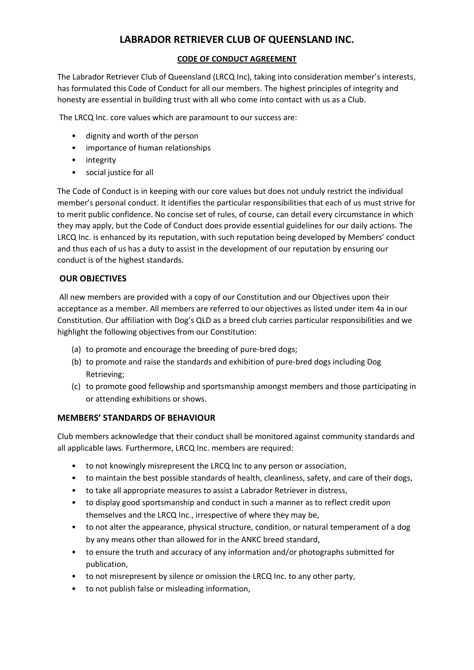# **LABRADOR RETRIEVER CLUB OF QUEENSLAND INC.**

## **CODE OF CONDUCT AGREEMENT**

The Labrador Retriever Club of Queensland (LRCQ Inc), taking into consideration member's interests, has formulated this Code of Conduct for all our members. The highest principles of integrity and honesty are essential in building trust with all who come into contact with us as a Club.

The LRCQ Inc. core values which are paramount to our success are:

- dignity and worth of the person
- importance of human relationships
- integrity
- social justice for all

The Code of Conduct is in keeping with our core values but does not unduly restrict the individual member's personal conduct. It identifies the particular responsibilities that each of us must strive for to merit public confidence. No concise set of rules, of course, can detail every circumstance in which they may apply, but the Code of Conduct does provide essential guidelines for our daily actions. The LRCQ Inc. is enhanced by its reputation, with such reputation being developed by Members' conduct and thus each of us has a duty to assist in the development of our reputation by ensuring our conduct is of the highest standards.

# **OUR OBJECTIVES**

All new members are provided with a copy of our Constitution and our Objectives upon their acceptance as a member. All members are referred to our objectives as listed under item 4a in our Constitution. Our affiliation with Dog's QLD as a breed club carries particular responsibilities and we highlight the following objectives from our Constitution:

- (a) to promote and encourage the breeding of pure-bred dogs;
- (b) to promote and raise the standards and exhibition of pure-bred dogs including Dog Retrieving;
- (c) to promote good fellowship and sportsmanship amongst members and those participating in or attending exhibitions or shows.

#### **MEMBERS' STANDARDS OF BEHAVIOUR**

Club members acknowledge that their conduct shall be monitored against community standards and all applicable laws. Furthermore, LRCQ Inc. members are required:

- to not knowingly misrepresent the LRCQ Inc to any person or association,
- to maintain the best possible standards of health, cleanliness, safety, and care of their dogs,
- to take all appropriate measures to assist a Labrador Retriever in distress,
- to display good sportsmanship and conduct in such a manner as to reflect credit upon themselves and the LRCQ Inc., irrespective of where they may be,
- to not alter the appearance, physical structure, condition, or natural temperament of a dog by any means other than allowed for in the ANKC breed standard,
- to ensure the truth and accuracy of any information and/or photographs submitted for publication,
- to not misrepresent by silence or omission the LRCQ Inc. to any other party,
- to not publish false or misleading information,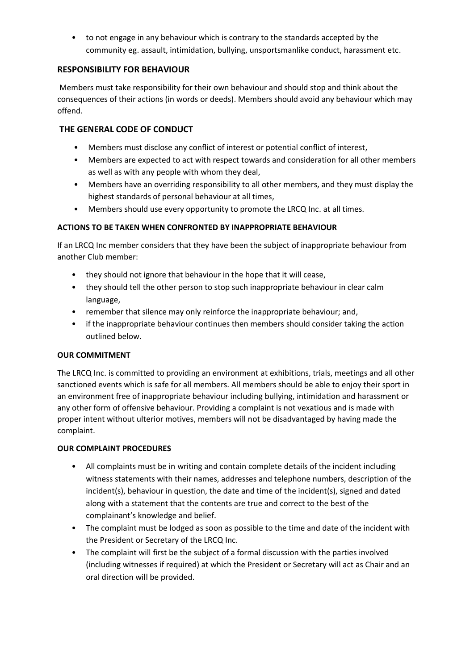• to not engage in any behaviour which is contrary to the standards accepted by the community eg. assault, intimidation, bullying, unsportsmanlike conduct, harassment etc.

#### **RESPONSIBILITY FOR BEHAVIOUR**

Members must take responsibility for their own behaviour and should stop and think about the consequences of their actions (in words or deeds). Members should avoid any behaviour which may offend.

## **THE GENERAL CODE OF CONDUCT**

- Members must disclose any conflict of interest or potential conflict of interest,
- Members are expected to act with respect towards and consideration for all other members as well as with any people with whom they deal,
- Members have an overriding responsibility to all other members, and they must display the highest standards of personal behaviour at all times,
- Members should use every opportunity to promote the LRCQ Inc. at all times.

#### **ACTIONS TO BE TAKEN WHEN CONFRONTED BY INAPPROPRIATE BEHAVIOUR**

If an LRCQ Inc member considers that they have been the subject of inappropriate behaviour from another Club member:

- they should not ignore that behaviour in the hope that it will cease,
- they should tell the other person to stop such inappropriate behaviour in clear calm language,
- remember that silence may only reinforce the inappropriate behaviour; and,
- if the inappropriate behaviour continues then members should consider taking the action outlined below.

#### **OUR COMMITMENT**

The LRCQ Inc. is committed to providing an environment at exhibitions, trials, meetings and all other sanctioned events which is safe for all members. All members should be able to enjoy their sport in an environment free of inappropriate behaviour including bullying, intimidation and harassment or any other form of offensive behaviour. Providing a complaint is not vexatious and is made with proper intent without ulterior motives, members will not be disadvantaged by having made the complaint.

#### **OUR COMPLAINT PROCEDURES**

- All complaints must be in writing and contain complete details of the incident including witness statements with their names, addresses and telephone numbers, description of the incident(s), behaviour in question, the date and time of the incident(s), signed and dated along with a statement that the contents are true and correct to the best of the complainant's knowledge and belief.
- The complaint must be lodged as soon as possible to the time and date of the incident with the President or Secretary of the LRCQ Inc.
- The complaint will first be the subject of a formal discussion with the parties involved (including witnesses if required) at which the President or Secretary will act as Chair and an oral direction will be provided.